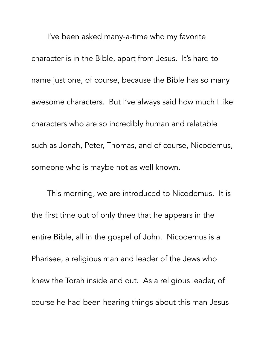I've been asked many-a-time who my favorite character is in the Bible, apart from Jesus. It's hard to name just one, of course, because the Bible has so many awesome characters. But I've always said how much I like characters who are so incredibly human and relatable such as Jonah, Peter, Thomas, and of course, Nicodemus, someone who is maybe not as well known.

 This morning, we are introduced to Nicodemus. It is the first time out of only three that he appears in the entire Bible, all in the gospel of John. Nicodemus is a Pharisee, a religious man and leader of the Jews who knew the Torah inside and out. As a religious leader, of course he had been hearing things about this man Jesus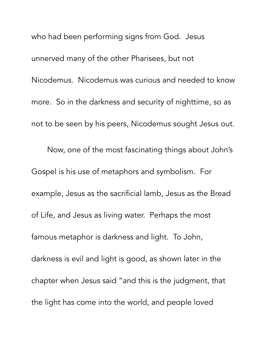who had been performing signs from God. Jesus unnerved many of the other Pharisees, but not Nicodemus. Nicodemus was curious and needed to know more. So in the darkness and security of nighttime, so as not to be seen by his peers, Nicodemus sought Jesus out. Now, one of the most fascinating things about John's Gospel is his use of metaphors and symbolism. For example, Jesus as the sacrificial lamb, Jesus as the Bread of Life, and Jesus as living water. Perhaps the most famous metaphor is darkness and light. To John, darkness is evil and light is good, as shown later in the chapter when Jesus said "and this is the judgment, that the light has come into the world, and people loved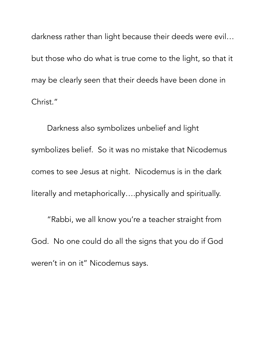darkness rather than light because their deeds were evil… but those who do what is true come to the light, so that it may be clearly seen that their deeds have been done in Christ."

 Darkness also symbolizes unbelief and light symbolizes belief. So it was no mistake that Nicodemus comes to see Jesus at night. Nicodemus is in the dark literally and metaphorically….physically and spiritually.

 "Rabbi, we all know you're a teacher straight from God. No one could do all the signs that you do if God weren't in on it" Nicodemus says.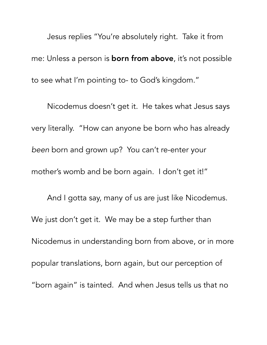Jesus replies "You're absolutely right. Take it from me: Unless a person is **born from above**, it's not possible to see what I'm pointing to- to God's kingdom."

 Nicodemus doesn't get it. He takes what Jesus says very literally. "How can anyone be born who has already *been* born and grown up? You can't re-enter your mother's womb and be born again. I don't get it!"

 And I gotta say, many of us are just like Nicodemus. We just don't get it. We may be a step further than Nicodemus in understanding born from above, or in more popular translations, born again, but our perception of "born again" is tainted. And when Jesus tells us that no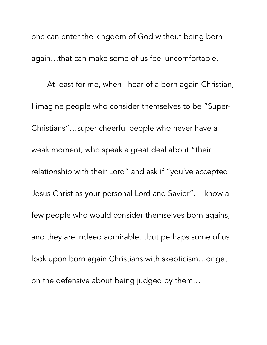one can enter the kingdom of God without being born again…that can make some of us feel uncomfortable.

 At least for me, when I hear of a born again Christian, I imagine people who consider themselves to be "Super-Christians"…super cheerful people who never have a weak moment, who speak a great deal about "their relationship with their Lord" and ask if "you've accepted Jesus Christ as your personal Lord and Savior". I know a few people who would consider themselves born agains, and they are indeed admirable…but perhaps some of us look upon born again Christians with skepticism…or get on the defensive about being judged by them…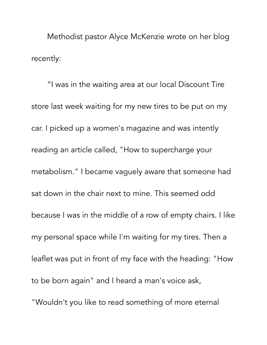Methodist pastor Alyce McKenzie wrote on her blog recently:

 "I was in the waiting area at our local Discount Tire store last week waiting for my new tires to be put on my car. I picked up a women's magazine and was intently reading an article called, "How to supercharge your metabolism." I became vaguely aware that someone had sat down in the chair next to mine. This seemed odd because I was in the middle of a row of empty chairs. I like my personal space while I'm waiting for my tires. Then a leaflet was put in front of my face with the heading: "How to be born again" and I heard a man's voice ask, "Wouldn't you like to read something of more eternal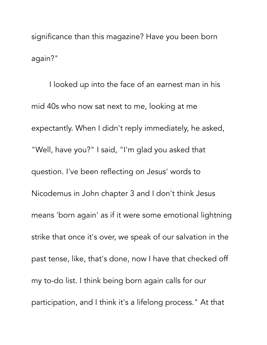significance than this magazine? Have you been born again?"

 I looked up into the face of an earnest man in his mid 40s who now sat next to me, looking at me expectantly. When I didn't reply immediately, he asked, "Well, have you?" I said, "I'm glad you asked that question. I've been reflecting on Jesus' words to Nicodemus in John chapter 3 and I don't think Jesus means 'born again' as if it were some emotional lightning strike that once it's over, we speak of our salvation in the past tense, like, that's done, now I have that checked off my to-do list. I think being born again calls for our participation, and I think it's a lifelong process." At that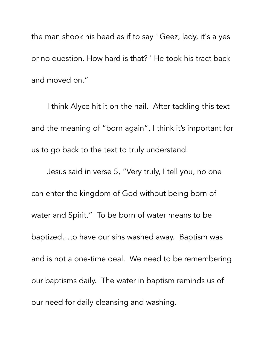the man shook his head as if to say "Geez, lady, it's a yes or no question. How hard is that?" He took his tract back and moved on."

 I think Alyce hit it on the nail. After tackling this text and the meaning of "born again", I think it's important for us to go back to the text to truly understand.

 Jesus said in verse 5, "Very truly, I tell you, no one can enter the kingdom of God without being born of water and Spirit." To be born of water means to be baptized…to have our sins washed away. Baptism was and is not a one-time deal. We need to be remembering our baptisms daily. The water in baptism reminds us of our need for daily cleansing and washing.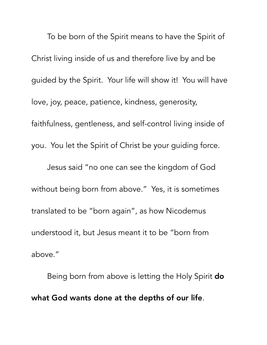To be born of the Spirit means to have the Spirit of Christ living inside of us and therefore live by and be guided by the Spirit. Your life will show it! You will have love, joy, peace, patience, kindness, generosity, faithfulness, gentleness, and self-control living inside of you. You let the Spirit of Christ be your guiding force. Jesus said "no one can see the kingdom of God without being born from above." Yes, it is sometimes translated to be "born again", as how Nicodemus understood it, but Jesus meant it to be "born from above."

Being born from above is letting the Holy Spirit **do** what God wants done at the depths of our life.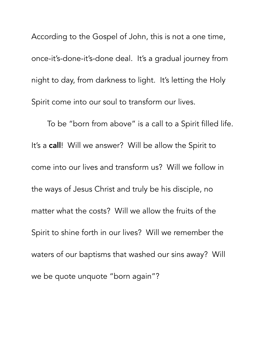According to the Gospel of John, this is not a one time, once-it's-done-it's-done deal. It's a gradual journey from night to day, from darkness to light. It's letting the Holy Spirit come into our soul to transform our lives.

 To be "born from above" is a call to a Spirit filled life. It's a call! Will we answer? Will be allow the Spirit to come into our lives and transform us? Will we follow in the ways of Jesus Christ and truly be his disciple, no matter what the costs? Will we allow the fruits of the Spirit to shine forth in our lives? Will we remember the waters of our baptisms that washed our sins away? Will we be quote unquote "born again"?